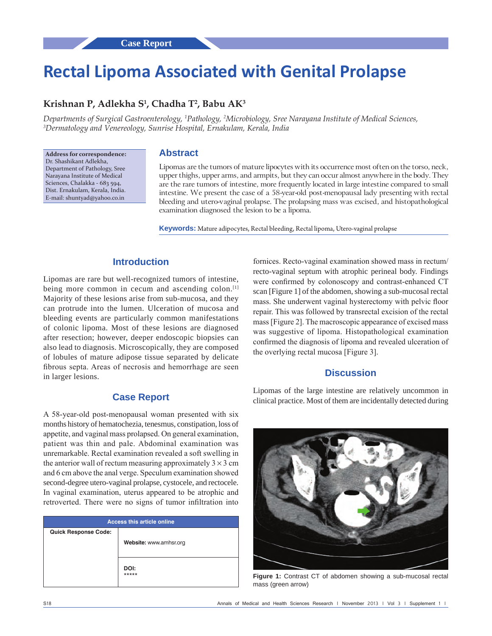# **Rectal Lipoma Associated with Genital Prolapse**

# **Krishnan P, Adlekha S1 , Chadha T2 , Babu AK3**

*Departments of Surgical Gastroenterology, 1 Pathology, 2 Microbiology, Sree Narayana Institute of Medical Sciences, 3 Dermatology and Venereology, Sunrise Hospital, Ernakulam, Kerala, India*

**Address for correspondence:** Dr. Shashikant Adlekha, Department of Pathology, Sree Narayana Institute of Medical Sciences, Chalakka - 683 594, Dist. Ernakulam, Kerala, India. E-mail: shuntyad@yahoo.co.in

#### **Abstract**

Lipomas are the tumors of mature lipocytes with its occurrence most often on the torso, neck, upper thighs, upper arms, and armpits, but they can occur almost anywhere in the body. They are the rare tumors of intestine, more frequently located in large intestine compared to small intestine. We present the case of a 58‑year‑old post‑menopausal lady presenting with rectal bleeding and utero-vaginal prolapse. The prolapsing mass was excised, and histopathological examination diagnosed the lesion to be a lipoma.

Keywords: Mature adipocytes, Rectal bleeding, Rectal lipoma, Utero-vaginal prolapse

# **Introduction**

Lipomas are rare but well‑recognized tumors of intestine, being more common in cecum and ascending colon.<sup>[1]</sup> Majority of these lesions arise from sub-mucosa, and they can protrude into the lumen. Ulceration of mucosa and bleeding events are particularly common manifestations of colonic lipoma. Most of these lesions are diagnosed after resection; however, deeper endoscopic biopsies can also lead to diagnosis. Microscopically, they are composed of lobules of mature adipose tissue separated by delicate fibrous septa. Areas of necrosis and hemorrhage are seen in larger lesions.

## **Case Report**

A 58‑year‑old post‑menopausal woman presented with six months history of hematochezia, tenesmus, constipation, loss of appetite, and vaginal mass prolapsed. On general examination, patient was thin and pale. Abdominal examination was unremarkable. Rectal examination revealed a soft swelling in the anterior wall of rectum measuring approximately  $3 \times 3$  cm and 6 cm above the anal verge. Speculum examination showed second-degree utero-vaginal prolapse, cystocele, and rectocele. In vaginal examination, uterus appeared to be atrophic and retroverted. There were no signs of tumor infiltration into

| <b>Access this article online</b> |                        |
|-----------------------------------|------------------------|
| <b>Quick Response Code:</b>       |                        |
|                                   | Website: www.amhsr.org |
|                                   |                        |
|                                   |                        |
|                                   | DOI:<br>*****          |
|                                   |                        |

fornices. Recto-vaginal examination showed mass in rectum/ recto-vaginal septum with atrophic perineal body. Findings were confirmed by colonoscopy and contrast-enhanced CT scan [Figure 1] of the abdomen, showing a sub-mucosal rectal mass. She underwent vaginal hysterectomy with pelvic floor repair. This was followed by transrectal excision of the rectal mass[Figure 2]. The macroscopic appearance of excised mass was suggestive of lipoma. Histopathological examination confirmed the diagnosis of lipoma and revealed ulceration of the overlying rectal mucosa [Figure 3].

### **Discussion**

Lipomas of the large intestine are relatively uncommon in clinical practice. Most of them are incidentally detected during



**Figure 1:** Contrast CT of abdomen showing a sub-mucosal rectal mass (green arrow)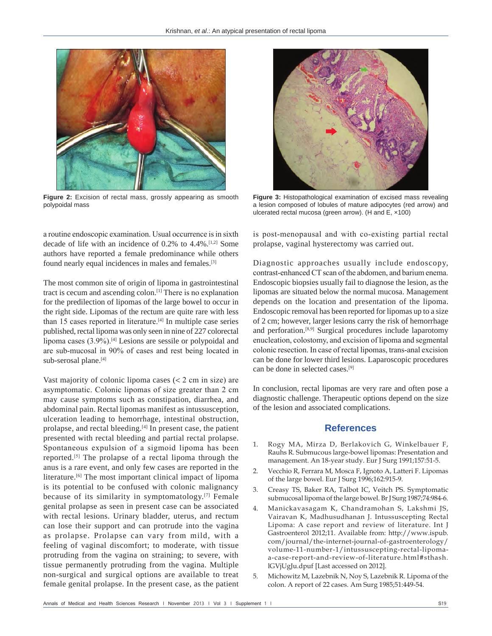

**Figure 2:** Excision of rectal mass, grossly appearing as smooth polypoidal mass

a routine endoscopic examination. Usual occurrence is in sixth decade of life with an incidence of  $0.2\%$  to  $4.4\%$ .<sup>[1,2]</sup> Some authors have reported a female predominance while others found nearly equal incidences in males and females.[3]

The most common site of origin of lipoma in gastrointestinal tract is cecum and ascending colon.[1] There is no explanation for the predilection of lipomas of the large bowel to occur in the right side. Lipomas of the rectum are quite rare with less than 15 cases reported in literature.[4] In multiple case series published, rectal lipoma was only seen in nine of 227 colorectal lipoma cases (3.9%).[4] Lesions are sessile or polypoidal and are sub‑mucosal in 90% of cases and rest being located in sub-serosal plane.<sup>[4]</sup>

Vast majority of colonic lipoma cases  $(< 2$  cm in size) are asymptomatic. Colonic lipomas of size greater than 2 cm may cause symptoms such as constipation, diarrhea, and abdominal pain. Rectal lipomas manifest as intussusception, ulceration leading to hemorrhage, intestinal obstruction, prolapse, and rectal bleeding.[4] In present case, the patient presented with rectal bleeding and partial rectal prolapse. Spontaneous expulsion of a sigmoid lipoma has been reported.[5] The prolapse of a rectal lipoma through the anus is a rare event, and only few cases are reported in the literature.[6] The most important clinical impact of lipoma is its potential to be confused with colonic malignancy because of its similarity in symptomatology.[7] Female genital prolapse as seen in present case can be associated with rectal lesions. Urinary bladder, uterus, and rectum can lose their support and can protrude into the vagina as prolapse. Prolapse can vary from mild, with a feeling of vaginal discomfort; to moderate, with tissue protruding from the vagina on straining; to severe, with tissue permanently protruding from the vagina. Multiple non‑surgical and surgical options are available to treat female genital prolapse. In the present case, as the patient



**Figure 3:** Histopathological examination of excised mass revealing a lesion composed of lobules of mature adipocytes (red arrow) and ulcerated rectal mucosa (green arrow). (H and E, ×100)

is post-menopausal and with co-existing partial rectal prolapse, vaginal hysterectomy was carried out.

Diagnostic approaches usually include endoscopy, contrast-enhanced CT scan of the abdomen, and barium enema. Endoscopic biopsies usually fail to diagnose the lesion, as the lipomas are situated below the normal mucosa. Management depends on the location and presentation of the lipoma. Endoscopic removal has been reported for lipomas up to a size of 2 cm; however, larger lesions carry the risk of hemorrhage and perforation.[8,9] Surgical procedures include laparotomy enucleation, colostomy, and excision of lipoma and segmental colonic resection. In case of rectal lipomas, trans‑anal excision can be done for lower third lesions. Laparoscopic procedures can be done in selected cases.[9]

In conclusion, rectal lipomas are very rare and often pose a diagnostic challenge. Therapeutic options depend on the size of the lesion and associated complications.

#### **References**

- 1. Rogy MA, Mirza D, Berlakovich G, Winkelbauer F, Rauhs R. Submucous large‑bowel lipomas: Presentation and management. An 18‑year study. Eur J Surg 1991;157:51‑5.
- 2. Vecchio R, Ferrara M, Mosca F, Ignoto A, Latteri F. Lipomas of the large bowel. Eur J Surg 1996;162:915‑9.
- 3. Creasy TS, Baker RA, Talbot IC, Veitch PS. Symptomatic submucosal lipoma of the large bowel. Br J Surg 1987;74:984-6.
- 4. Manickavasagam K, Chandramohan S, Lakshmi JS, Vairavan K, Madhusudhanan J. Intussuscepting Rectal Lipoma: A case report and review of literature. Int J Gastroenterol 2012;11. Available from: http://www.ispub. com/journal/the-internet-journal-of-gastroenterology/ volume-11-number-1/intussuscepting-rectal-lipomaa‑case‑report‑and‑review‑of‑literature.html#sthash. lGVjUgJu.dpuf [Last accessed on 2012].
- 5. Michowitz M, Lazebnik N, Noy S, Lazebnik R. Lipoma of the colon. A report of 22 cases. Am Surg 1985;51:449‑54.